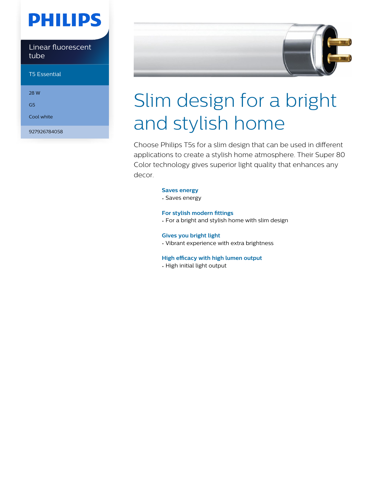# **PHILIPS**

Linear fluorescent tube

T5 Essential

28 W

G5

Cool white

927926784058



# Slim design for a bright and stylish home

Choose Philips T5s for a slim design that can be used in different applications to create a stylish home atmosphere. Their Super 80 Color technology gives superior light quality that enhances any decor.

#### **Saves energy**

• Saves energy

#### **For stylish modern fittings**

• For a bright and stylish home with slim design

#### **Gives you bright light**

• Vibrant experience with extra brightness

#### **High efficacy with high lumen output**

• High initial light output